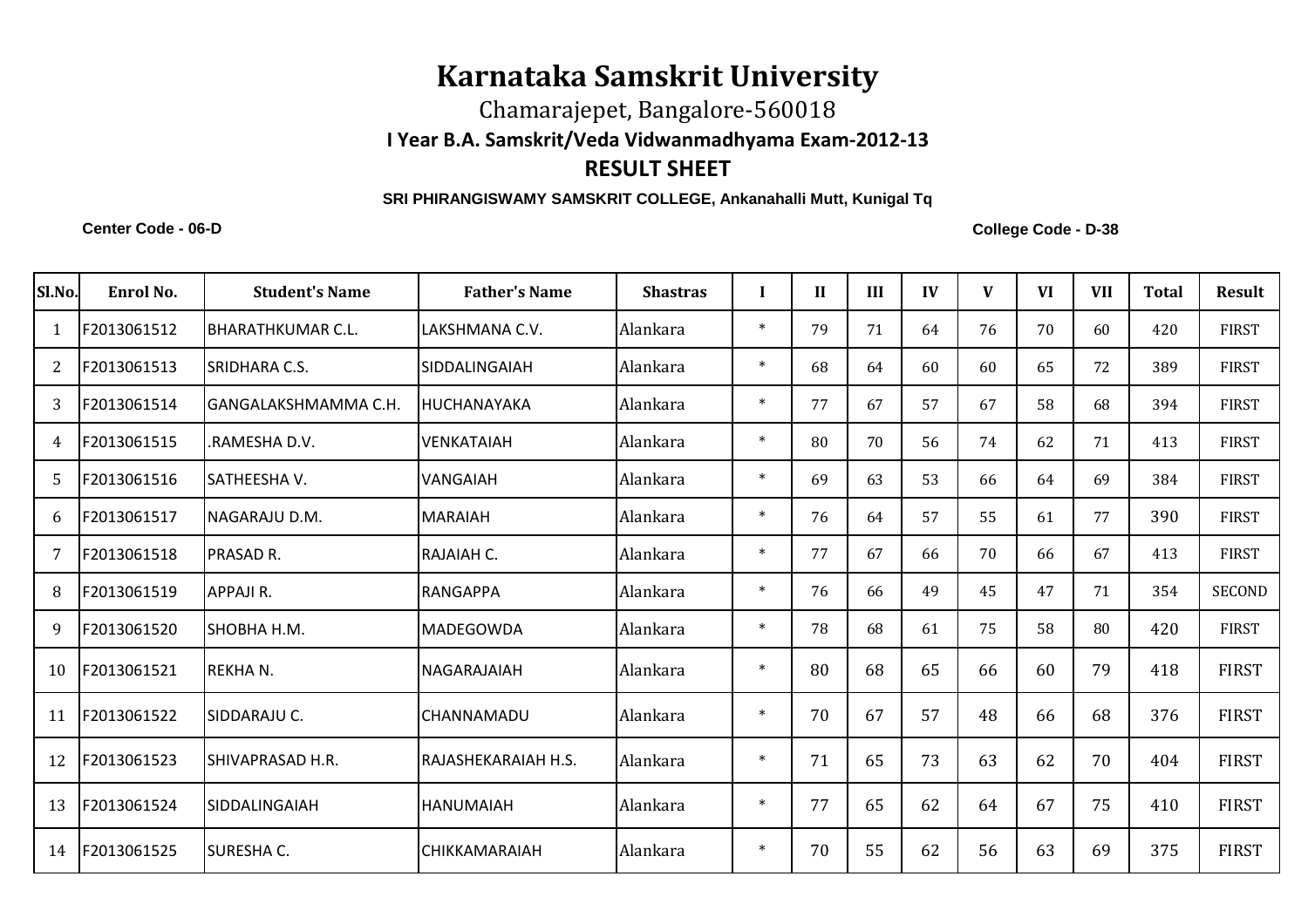## **Karnataka Samskrit University**

Chamarajepet, Bangalore-560018

**I Year B.A. Samskrit/Veda Vidwanmadhyama Exam-2012-13**

## **RESULT SHEET**

## **SRI PHIRANGISWAMY SAMSKRIT COLLEGE, Ankanahalli Mutt, Kunigal Tq**

**Center Code - 06-D**

**College Code - D-38**

| Sl.No. | Enrol No.   | <b>Student's Name</b>     | <b>Father's Name</b> | <b>Shastras</b> |        | $\mathbf{I}$ | III | IV | $\mathbf{V}$ | <b>VI</b> | <b>VII</b> | <b>Total</b> | <b>Result</b> |
|--------|-------------|---------------------------|----------------------|-----------------|--------|--------------|-----|----|--------------|-----------|------------|--------------|---------------|
|        | F2013061512 | <b>IBHARATHKUMAR C.L.</b> | LAKSHMANA C.V.       | Alankara        | $\ast$ | 79           | 71  | 64 | 76           | 70        | 60         | 420          | <b>FIRST</b>  |
| 2      | F2013061513 | <b>SRIDHARA C.S.</b>      | <b>SIDDALINGAIAH</b> | Alankara        | $\ast$ | 68           | 64  | 60 | 60           | 65        | 72         | 389          | <b>FIRST</b>  |
| 3      | F2013061514 | lGANGALAKSHMAMMA C.H.     | IHUCHANAYAKA         | Alankara        | $\ast$ | 77           | 67  | 57 | 67           | 58        | 68         | 394          | <b>FIRST</b>  |
| 4      | F2013061515 | RAMESHA D.V.              | <b>VENKATAIAH</b>    | Alankara        | $\ast$ | 80           | 70  | 56 | 74           | 62        | 71         | 413          | <b>FIRST</b>  |
| .5     | F2013061516 | lSATHEESHA V.             | <b>VANGAIAH</b>      | Alankara        | $\ast$ | 69           | 63  | 53 | 66           | 64        | 69         | 384          | <b>FIRST</b>  |
| 6      | F2013061517 | INAGARAJU D.M.            | <b>MARAIAH</b>       | Alankara        | $\ast$ | 76           | 64  | 57 | 55           | 61        | 77         | 390          | <b>FIRST</b>  |
| 7      | F2013061518 | <b>PRASAD R.</b>          | RAJAIAH C.           | Alankara        | $\ast$ | 77           | 67  | 66 | 70           | 66        | 67         | 413          | <b>FIRST</b>  |
| 8      | F2013061519 | APPAJI R.                 | RANGAPPA             | Alankara        | $\ast$ | 76           | 66  | 49 | 45           | 47        | 71         | 354          | <b>SECOND</b> |
| 9      | F2013061520 | ISHOBHA H.M.              | <b>MADEGOWDA</b>     | Alankara        | $\ast$ | 78           | 68  | 61 | 75           | 58        | 80         | 420          | <b>FIRST</b>  |
| 10     | F2013061521 | <b>REKHAN.</b>            | NAGARAJAIAH          | Alankara        | $\ast$ | 80           | 68  | 65 | 66           | 60        | 79         | 418          | <b>FIRST</b>  |
| 11     | F2013061522 | ISIDDARAJU C.             | <b>CHANNAMADU</b>    | Alankara        | $\ast$ | 70           | 67  | 57 | 48           | 66        | 68         | 376          | <b>FIRST</b>  |
| 12     | F2013061523 | ISHIVAPRASAD H.R.         | RAJASHEKARAIAH H.S.  | Alankara        | $\ast$ | 71           | 65  | 73 | 63           | 62        | 70         | 404          | <b>FIRST</b>  |
| 13     | F2013061524 | ISIDDALINGAIAH            | <b>HANUMAIAH</b>     | Alankara        | $\ast$ | 77           | 65  | 62 | 64           | 67        | 75         | 410          | <b>FIRST</b>  |
| 14     | F2013061525 | <b>SURESHA C.</b>         | <b>CHIKKAMARAIAH</b> | Alankara        | $\ast$ | 70           | 55  | 62 | 56           | 63        | 69         | 375          | <b>FIRST</b>  |